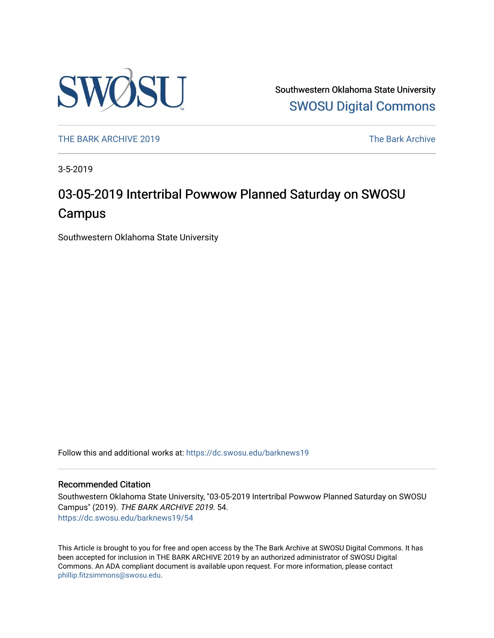

Southwestern Oklahoma State University [SWOSU Digital Commons](https://dc.swosu.edu/) 

[THE BARK ARCHIVE 2019](https://dc.swosu.edu/barknews19) The Bark Archive

3-5-2019

## 03-05-2019 Intertribal Powwow Planned Saturday on SWOSU **Campus**

Southwestern Oklahoma State University

Follow this and additional works at: [https://dc.swosu.edu/barknews19](https://dc.swosu.edu/barknews19?utm_source=dc.swosu.edu%2Fbarknews19%2F54&utm_medium=PDF&utm_campaign=PDFCoverPages)

#### Recommended Citation

Southwestern Oklahoma State University, "03-05-2019 Intertribal Powwow Planned Saturday on SWOSU Campus" (2019). THE BARK ARCHIVE 2019. 54. [https://dc.swosu.edu/barknews19/54](https://dc.swosu.edu/barknews19/54?utm_source=dc.swosu.edu%2Fbarknews19%2F54&utm_medium=PDF&utm_campaign=PDFCoverPages) 

This Article is brought to you for free and open access by the The Bark Archive at SWOSU Digital Commons. It has been accepted for inclusion in THE BARK ARCHIVE 2019 by an authorized administrator of SWOSU Digital Commons. An ADA compliant document is available upon request. For more information, please contact [phillip.fitzsimmons@swosu.edu](mailto:phillip.fitzsimmons@swosu.edu).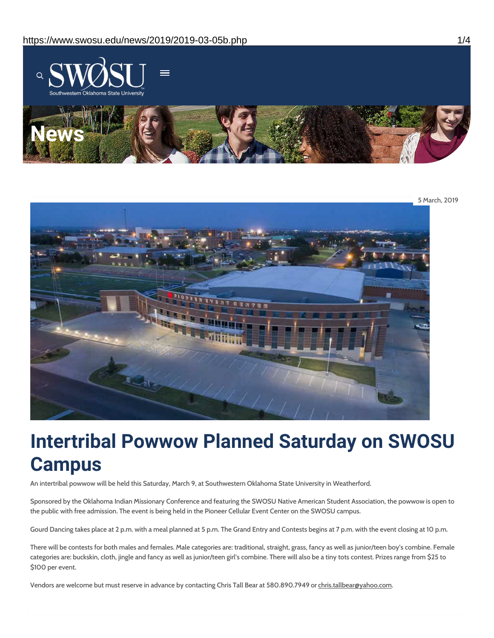

5 March, 2019

# **Intertribal Powwow Planned Saturday on SWOSU Campus**

An intertribal powwow will be held this Saturday, March 9, at Southwestern Oklahoma State University in Weatherford.

Sponsored by the Oklahoma Indian Missionary Conference and featuring the SWOSU Native American Student Association, the powwow is open to the public with free admission. The event is being held in the Pioneer Cellular Event Center on the SWOSU campus.

Gourd Dancing takes place at 2 p.m. with a meal planned at 5 p.m. The Grand Entry and Contests begins at 7 p.m. with the event closing at 10 p.m.

There will be contests for both males and females. Male categories are: traditional, straight, grass, fancy as well as junior/teen boy's combine. Female categories are: buckskin, cloth, jingle and fancy as well as junior/teen girl's combine. There will also be a tiny tots contest. Prizes range from \$25 to \$100 per event.

Vendors are welcome but must reserve in advance by contacting Chris Tall Bear at 580.890.7949 or chris.tallbear@yahoo.com.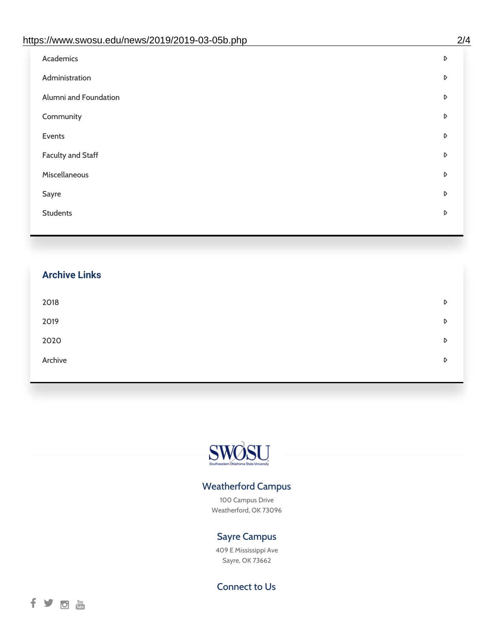| https://www.swosu.edu/news/2019/2019-03-05b.php | 2/4 |
|-------------------------------------------------|-----|
| Academics                                       | D   |
| Administration                                  | D   |
| Alumni and Foundation                           | D   |
| Community                                       | D   |
| Events                                          | D   |
| <b>Faculty and Staff</b>                        | D   |
| Miscellaneous                                   | D   |
| Sayre                                           | D   |
| <b>Students</b>                                 | D   |
|                                                 |     |

## **Archive Links**

| 2018    | D |
|---------|---|
| 2019    | D |
| 2020    | D |
| Archive | D |



## Weatherford Campus

100 Campus Drive Weatherford, OK 73096

## Sayre Campus

409 E Mississippi Ave Sayre, OK 73662

Connect to Us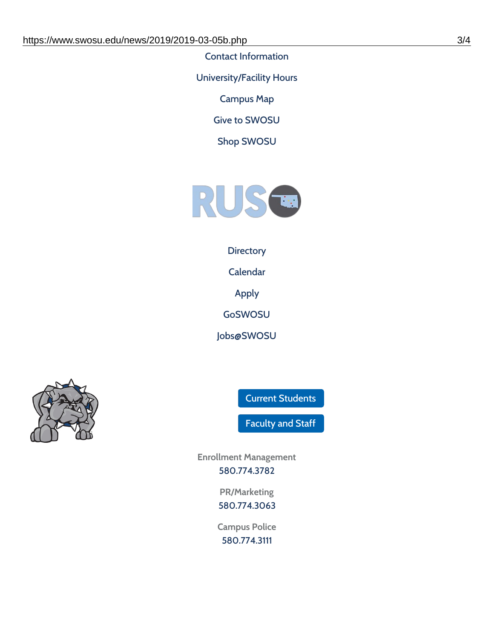Contact [Information](https://www.swosu.edu/about/contact.php)

[University/Facility](https://www.swosu.edu/about/operating-hours.php) Hours

[Campus](https://map.concept3d.com/?id=768#!ct/10964,10214,10213,10212,10205,10204,10203,10202,10136,10129,10128,0,31226,10130,10201,10641,0) Map

Give to [SWOSU](https://standingfirmly.com/donate)

Shop [SWOSU](https://shopswosu.merchorders.com/)



### **[Directory](https://www.swosu.edu/directory/index.php)**

[Calendar](https://eventpublisher.dudesolutions.com/swosu/)

[Apply](https://www.swosu.edu/admissions/apply-to-swosu.php)

[GoSWOSU](https://qlsso.quicklaunchsso.com/home/1267)

[Jobs@SWOSU](https://swosu.csod.com/ux/ats/careersite/1/home?c=swosu)



Current [Students](https://bulldog.swosu.edu/index.php)

[Faculty](https://bulldog.swosu.edu/faculty-staff/index.php) and Staff

**Enrollment Management** [580.774.3782](tel:5807743782)

> **PR/Marketing** [580.774.3063](tel:5807743063)

**Campus Police** [580.774.3111](tel:5807743111)